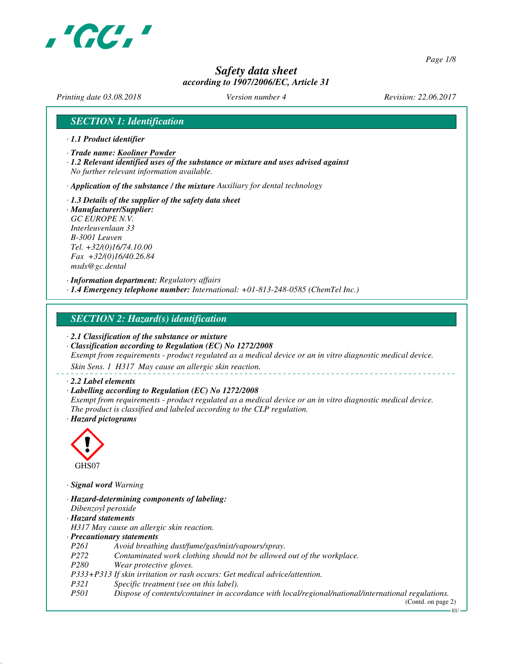

*Page 1/8*

# *Safety data sheet according to 1907/2006/EC, Article 31*

*Printing date 03.08.2018 Version number 4 Revision: 22.06.2017*

## *SECTION 1: Identification*

- *· 1.1 Product identifier*
- *· Trade name: Kooliner Powder*
- *· 1.2 Relevant identified uses of the substance or mixture and uses advised against No further relevant information available.*

*· Application of the substance / the mixture Auxiliary for dental technology*

- *· 1.3 Details of the supplier of the safety data sheet*
- *· Manufacturer/Supplier: GC EUROPE N.V. Interleuvenlaan 33 B-3001 Leuven Tel. +32/(0)16/74.10.00 Fax +32/(0)16/40.26.84 msds@gc.dental*

*· Information department: Regulatory affairs · 1.4 Emergency telephone number: International: +01-813-248-0585 (ChemTel Inc.)*

## *SECTION 2: Hazard(s) identification*

- *· 2.1 Classification of the substance or mixture*
- *· Classification according to Regulation (EC) No 1272/2008 Exempt from requirements - product regulated as a medical device or an in vitro diagnostic medical device.*

*Skin Sens. 1 H317 May cause an allergic skin reaction.*

#### *· 2.2 Label elements*

#### *· Labelling according to Regulation (EC) No 1272/2008*

*Exempt from requirements - product regulated as a medical device or an in vitro diagnostic medical device. The product is classified and labeled according to the CLP regulation. · Hazard pictograms*



*· Signal word Warning*

- *· Hazard-determining components of labeling:*
- *Dibenzoyl peroxide*
- *· Hazard statements*
- *H317 May cause an allergic skin reaction.*

#### *· Precautionary statements*

- *P261 Avoid breathing dust/fume/gas/mist/vapours/spray.*
- *P272 Contaminated work clothing should not be allowed out of the workplace.*
- *P280 Wear protective gloves.*
- *P333+P313 If skin irritation or rash occurs: Get medical advice/attention.*
- *P321 Specific treatment (see on this label).*
- *P501 Dispose of contents/container in accordance with local/regional/national/international regulations.*

(Contd. on page 2)

EU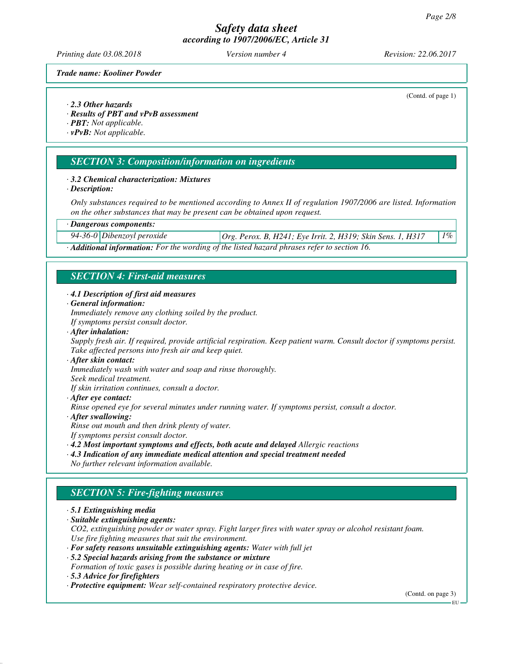*Printing date 03.08.2018 Version number 4 Revision: 22.06.2017*

(Contd. of page 1)

#### *Trade name: Kooliner Powder*

#### *· 2.3 Other hazards*

*· Results of PBT and vPvB assessment*

*· PBT: Not applicable.*

*· vPvB: Not applicable.*

## *SECTION 3: Composition/information on ingredients*

#### *· 3.2 Chemical characterization: Mixtures*

*· Description:*

*Only substances required to be mentioned according to Annex II of regulation 1907/2006 are listed. Information on the other substances that may be present can be obtained upon request.*

#### *· Dangerous components:*

*94-36-0 Dibenzoyl peroxide Org. Perox. B, H241; Eye Irrit. 2, H319; Skin Sens. 1, H317 1%*

*· Additional information: For the wording of the listed hazard phrases refer to section 16.*

## *SECTION 4: First-aid measures*

#### *· 4.1 Description of first aid measures*

*· General information:*

*Immediately remove any clothing soiled by the product.*

- *If symptoms persist consult doctor.*
- *· After inhalation:*

*Supply fresh air. If required, provide artificial respiration. Keep patient warm. Consult doctor if symptoms persist. Take affected persons into fresh air and keep quiet.*

*· After skin contact:*

*Immediately wash with water and soap and rinse thoroughly.*

*Seek medical treatment.*

*If skin irritation continues, consult a doctor.*

*· After eye contact:*

*Rinse opened eye for several minutes under running water. If symptoms persist, consult a doctor.*

- *· After swallowing:*
- *Rinse out mouth and then drink plenty of water.*

*If symptoms persist consult doctor.*

*· 4.2 Most important symptoms and effects, both acute and delayed Allergic reactions*

*· 4.3 Indication of any immediate medical attention and special treatment needed No further relevant information available.*

# *SECTION 5: Fire-fighting measures*

*· 5.1 Extinguishing media*

*· Suitable extinguishing agents:*

*CO2, extinguishing powder or water spray. Fight larger fires with water spray or alcohol resistant foam. Use fire fighting measures that suit the environment.*

- *· For safety reasons unsuitable extinguishing agents: Water with full jet*
- *· 5.2 Special hazards arising from the substance or mixture Formation of toxic gases is possible during heating or in case of fire.*
- *· 5.3 Advice for firefighters*
- *· Protective equipment: Wear self-contained respiratory protective device.*

(Contd. on page 3)

EU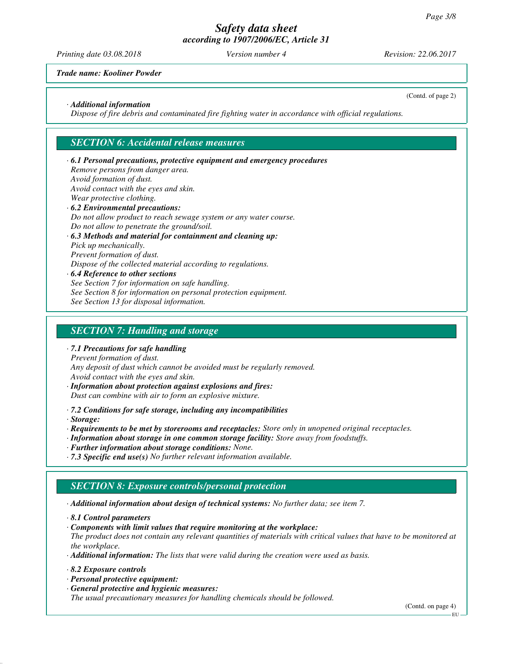*Printing date 03.08.2018 Version number 4 Revision: 22.06.2017*

(Contd. of page 2)

*Trade name: Kooliner Powder*

### *· Additional information*

*Dispose of fire debris and contaminated fire fighting water in accordance with official regulations.*

## *SECTION 6: Accidental release measures*

*· 6.1 Personal precautions, protective equipment and emergency procedures Remove persons from danger area. Avoid formation of dust. Avoid contact with the eyes and skin. Wear protective clothing. · 6.2 Environmental precautions: Do not allow product to reach sewage system or any water course. Do not allow to penetrate the ground/soil. · 6.3 Methods and material for containment and cleaning up: Pick up mechanically. Prevent formation of dust. Dispose of the collected material according to regulations.*

*· 6.4 Reference to other sections See Section 7 for information on safe handling. See Section 8 for information on personal protection equipment. See Section 13 for disposal information.*

## *SECTION 7: Handling and storage*

#### *· 7.1 Precautions for safe handling*

*Prevent formation of dust.*

*Any deposit of dust which cannot be avoided must be regularly removed.*

*Avoid contact with the eyes and skin.*

*· Information about protection against explosions and fires: Dust can combine with air to form an explosive mixture.*

*· 7.2 Conditions for safe storage, including any incompatibilities*

*· Storage:*

*· Requirements to be met by storerooms and receptacles: Store only in unopened original receptacles.*

- *· Information about storage in one common storage facility: Store away from foodstuffs.*
- *· Further information about storage conditions: None.*
- *· 7.3 Specific end use(s) No further relevant information available.*

# *SECTION 8: Exposure controls/personal protection*

*· Additional information about design of technical systems: No further data; see item 7.*

*· 8.1 Control parameters*

*· Components with limit values that require monitoring at the workplace:*

*The product does not contain any relevant quantities of materials with critical values that have to be monitored at the workplace.*

*· Additional information: The lists that were valid during the creation were used as basis.*

*· 8.2 Exposure controls*

- *· Personal protective equipment:*
- *· General protective and hygienic measures:*

*The usual precautionary measures for handling chemicals should be followed.*

(Contd. on page 4)

EU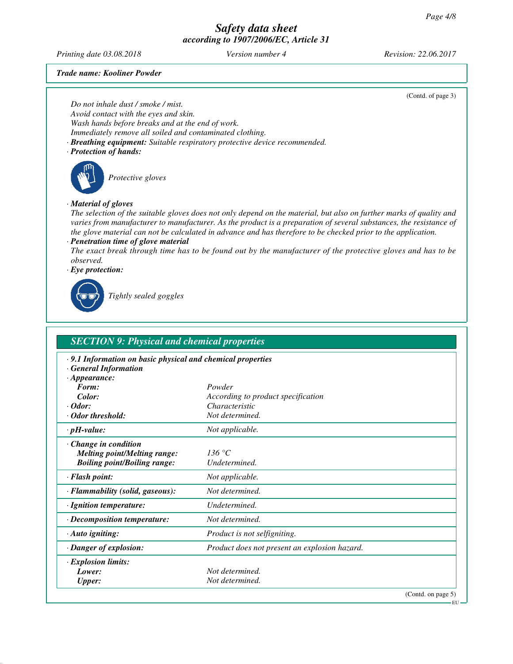*Printing date 03.08.2018 Version number 4 Revision: 22.06.2017*

(Contd. of page 3)

EU

*Trade name: Kooliner Powder*

*Do not inhale dust / smoke / mist.*

*Avoid contact with the eyes and skin. Wash hands before breaks and at the end of work.*

*Immediately remove all soiled and contaminated clothing.*

*· Breathing equipment: Suitable respiratory protective device recommended.*

## *· Protection of hands:*



*Protective gloves*

## *· Material of gloves*

*The selection of the suitable gloves does not only depend on the material, but also on further marks of quality and varies from manufacturer to manufacturer. As the product is a preparation of several substances, the resistance of the glove material can not be calculated in advance and has therefore to be checked prior to the application.*

#### *· Penetration time of glove material*

*The exact break through time has to be found out by the manufacturer of the protective gloves and has to be observed.*

*· Eye protection:*



*Tightly sealed goggles*

| <b>SECTION 9: Physical and chemical properties</b>                                                                     |                                               |  |
|------------------------------------------------------------------------------------------------------------------------|-----------------------------------------------|--|
| $\cdot$ 9.1 Information on basic physical and chemical properties<br><b>General Information</b><br>$\cdot$ Appearance: |                                               |  |
| Form:                                                                                                                  | Powder                                        |  |
| Color:                                                                                                                 | According to product specification            |  |
| $\cdot$ Odor:                                                                                                          | Characteristic                                |  |
| · Odor threshold:                                                                                                      | Not determined.                               |  |
| $\cdot$ pH-value:                                                                                                      | Not applicable.                               |  |
| $\cdot$ Change in condition<br><b>Melting point/Melting range:</b><br><b>Boiling point/Boiling range:</b>              | 136 °C<br>Undetermined.                       |  |
| · Flash point:                                                                                                         | Not applicable.                               |  |
| · Flammability (solid, gaseous):                                                                                       | Not determined.                               |  |
| · Ignition temperature:                                                                                                | Undetermined.                                 |  |
| $\cdot$ Decomposition temperature:                                                                                     | Not determined.                               |  |
| $\cdot$ Auto igniting:                                                                                                 | Product is not selfigniting.                  |  |
| · Danger of explosion:                                                                                                 | Product does not present an explosion hazard. |  |
| · Explosion limits:                                                                                                    |                                               |  |
| Lower:                                                                                                                 | Not determined.                               |  |
| <b>Upper:</b>                                                                                                          | Not determined.                               |  |
|                                                                                                                        | (Contd. on page 5)                            |  |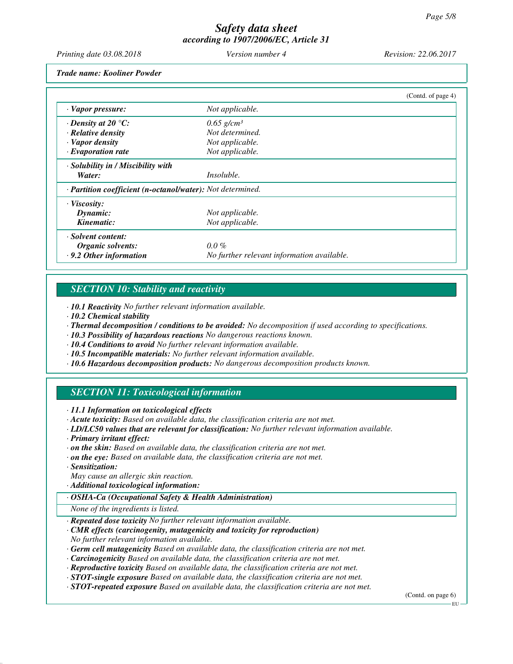*Printing date 03.08.2018 Version number 4 Revision: 22.06.2017*

*Trade name: Kooliner Powder*

|                                                                         |                                            | (Contd. of page 4) |
|-------------------------------------------------------------------------|--------------------------------------------|--------------------|
| · Vapor pressure:                                                       | Not applicable.                            |                    |
| $\cdot$ Density at 20 °C:                                               | $0.65$ g/cm <sup>3</sup>                   |                    |
| $\cdot$ Relative density                                                | Not determined.                            |                    |
| · Vapor density                                                         | Not applicable.                            |                    |
| $\cdot$ Evaporation rate                                                | Not applicable.                            |                    |
| $\cdot$ Solubility in / Miscibility with                                |                                            |                    |
| Water:                                                                  | <i>Insoluble.</i>                          |                    |
| $\cdot$ <b>Partition coefficient (n-octanol/water):</b> Not determined. |                                            |                    |
| · Viscosity:                                                            |                                            |                    |
| Dynamic:                                                                | Not applicable.                            |                    |
| Kinematic:                                                              | Not applicable.                            |                    |
| · Solvent content:                                                      |                                            |                    |
| Organic solvents:                                                       | $0.0\%$                                    |                    |
| .9.2 Other information                                                  | No further relevant information available. |                    |

# *SECTION 10: Stability and reactivity*

*· 10.1 Reactivity No further relevant information available.*

- *· 10.2 Chemical stability*
- *· Thermal decomposition / conditions to be avoided: No decomposition if used according to specifications.*
- *· 10.3 Possibility of hazardous reactions No dangerous reactions known.*
- *· 10.4 Conditions to avoid No further relevant information available.*
- *· 10.5 Incompatible materials: No further relevant information available.*
- *· 10.6 Hazardous decomposition products: No dangerous decomposition products known.*

# *SECTION 11: Toxicological information*

*· 11.1 Information on toxicological effects*

- *· Acute toxicity: Based on available data, the classification criteria are not met.*
- *· LD/LC50 values that are relevant for classification: No further relevant information available.*

*· Primary irritant effect:*

- *· on the skin: Based on available data, the classification criteria are not met.*
- *· on the eye: Based on available data, the classification criteria are not met.*
- *· Sensitization:*
- *May cause an allergic skin reaction.*
- *· Additional toxicological information:*

#### *· OSHA-Ca (Occupational Safety & Health Administration)*

*None of the ingredients is listed.*

- *· Repeated dose toxicity No further relevant information available.*
- *· CMR effects (carcinogenity, mutagenicity and toxicity for reproduction) No further relevant information available.*
- *· Germ cell mutagenicity Based on available data, the classification criteria are not met.*
- *· Carcinogenicity Based on available data, the classification criteria are not met.*

*· Reproductive toxicity Based on available data, the classification criteria are not met.*

- *· STOT-single exposure Based on available data, the classification criteria are not met.*
- *· STOT-repeated exposure Based on available data, the classification criteria are not met.*

(Contd. on page 6)

EU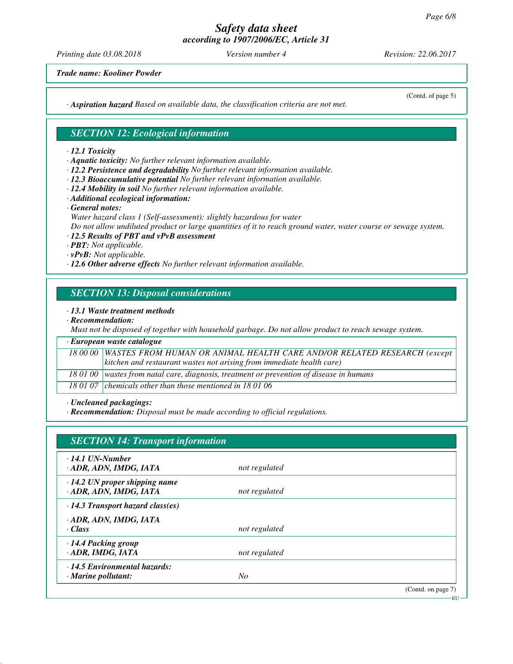*Printing date 03.08.2018 Version number 4 Revision: 22.06.2017*

(Contd. of page 5)

*Trade name: Kooliner Powder*

*· Aspiration hazard Based on available data, the classification criteria are not met.*

## *SECTION 12: Ecological information*

#### *· 12.1 Toxicity*

- *· Aquatic toxicity: No further relevant information available.*
- *· 12.2 Persistence and degradability No further relevant information available.*
- *· 12.3 Bioaccumulative potential No further relevant information available.*
- *· 12.4 Mobility in soil No further relevant information available.*
- *· Additional ecological information:*
- *· General notes:*
- *Water hazard class 1 (Self-assessment): slightly hazardous for water Do not allow undiluted product or large quantities of it to reach ground water, water course or sewage system.*
- *· 12.5 Results of PBT and vPvB assessment*
- *· PBT: Not applicable.*
- *· vPvB: Not applicable.*
- *· 12.6 Other adverse effects No further relevant information available.*

## *SECTION 13: Disposal considerations*

#### *· 13.1 Waste treatment methods*

*· Recommendation:*

*Must not be disposed of together with household garbage. Do not allow product to reach sewage system.*

| · European waste catalogue |                                                                                            |  |
|----------------------------|--------------------------------------------------------------------------------------------|--|
|                            | 18 00 00 WASTES FROM HUMAN OR ANIMAL HEALTH CARE AND/OR RELATED RESEARCH (except           |  |
|                            | $\vert$ kitchen and restaurant wastes not arising from immediate health care)              |  |
|                            | 18 01 00   wastes from natal care, diagnosis, treatment or prevention of disease in humans |  |
|                            | 18 01 07 chemicals other than those mentioned in 18 01 06                                  |  |

*· Uncleaned packagings:*

*· Recommendation: Disposal must be made according to official regulations.*

| <b>SECTION 14: Transport information</b>                         |               |                    |
|------------------------------------------------------------------|---------------|--------------------|
| $\cdot$ 14.1 UN-Number<br>· ADR, ADN, IMDG, IATA                 | not regulated |                    |
| $\cdot$ 14.2 UN proper shipping name<br>· ADR, ADN, IMDG, IATA   | not regulated |                    |
| $\cdot$ 14.3 Transport hazard class(es)                          |               |                    |
| · ADR, ADN, IMDG, IATA<br>· Class                                | not regulated |                    |
| $\cdot$ 14.4 Packing group<br>· ADR, IMDG, IATA                  | not regulated |                    |
| $\cdot$ 14.5 Environmental hazards:<br>$\cdot$ Marine pollutant: | No            |                    |
|                                                                  |               | (Contd. on page 7) |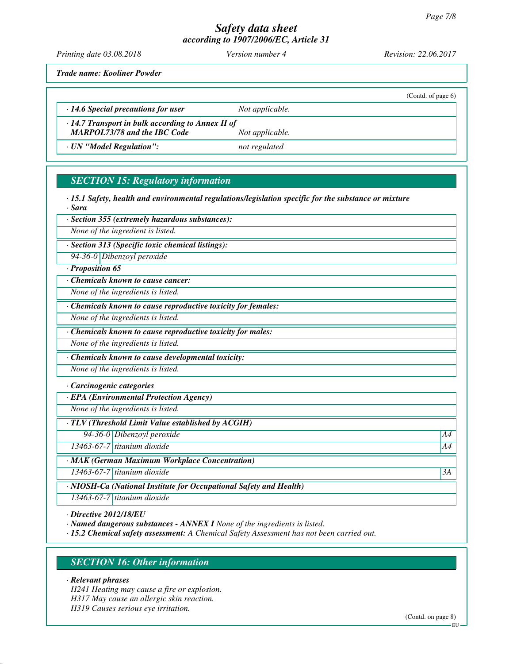*Printing date 03.08.2018 Version number 4 Revision: 22.06.2017*

 $(Contd, of paa6)$ 

*Trade name: Kooliner Powder*

|                                                                                                |                 | $\overline{C}$ $\overline{C}$ $\overline{C}$ $\overline{C}$ $\overline{C}$ $\overline{C}$ $\overline{C}$ $\overline{C}$ $\overline{C}$ $\overline{C}$ $\overline{C}$ $\overline{C}$ $\overline{C}$ $\overline{C}$ $\overline{C}$ $\overline{C}$ $\overline{C}$ $\overline{C}$ $\overline{C}$ $\overline{C}$ $\overline{C}$ $\overline{C}$ $\overline{C}$ $\overline{C}$ $\overline{$ |
|------------------------------------------------------------------------------------------------|-----------------|--------------------------------------------------------------------------------------------------------------------------------------------------------------------------------------------------------------------------------------------------------------------------------------------------------------------------------------------------------------------------------------|
| $\cdot$ 14.6 Special precautions for user                                                      | Not applicable. |                                                                                                                                                                                                                                                                                                                                                                                      |
| $\cdot$ 14.7 Transport in bulk according to Annex II of<br><b>MARPOL73/78 and the IBC Code</b> | Not applicable. |                                                                                                                                                                                                                                                                                                                                                                                      |
| · UN "Model Regulation":                                                                       | not regulated   |                                                                                                                                                                                                                                                                                                                                                                                      |

# *SECTION 15: Regulatory information*

*· 15.1 Safety, health and environmental regulations/legislation specific for the substance or mixture · Sara*

*· Section 355 (extremely hazardous substances):*

*None of the ingredient is listed.*

*· Section 313 (Specific toxic chemical listings):*

*94-36-0 Dibenzoyl peroxide*

## *· Proposition 65*

*· Chemicals known to cause cancer:*

*None of the ingredients is listed.*

*· Chemicals known to cause reproductive toxicity for females:*

*None of the ingredients is listed.*

*· Chemicals known to cause reproductive toxicity for males:*

*None of the ingredients is listed.*

*· Chemicals known to cause developmental toxicity:*

*None of the ingredients is listed.*

*· Carcinogenic categories*

*· EPA (Environmental Protection Agency)*

*None of the ingredients is listed.*

*· TLV (Threshold Limit Value established by ACGIH)*

*94-36-0 Dibenzoyl peroxide A4*

*13463-67-7 titanium dioxide A4*

*· MAK (German Maximum Workplace Concentration)*

*13463-67-7 titanium dioxide 3A*

*· NIOSH-Ca (National Institute for Occupational Safety and Health)*

*13463-67-7 titanium dioxide*

*· Directive 2012/18/EU*

*· Named dangerous substances - ANNEX I None of the ingredients is listed.*

*· 15.2 Chemical safety assessment: A Chemical Safety Assessment has not been carried out.*

# *SECTION 16: Other information*

*· Relevant phrases*

*H241 Heating may cause a fire or explosion. H317 May cause an allergic skin reaction.*

*H319 Causes serious eye irritation.*